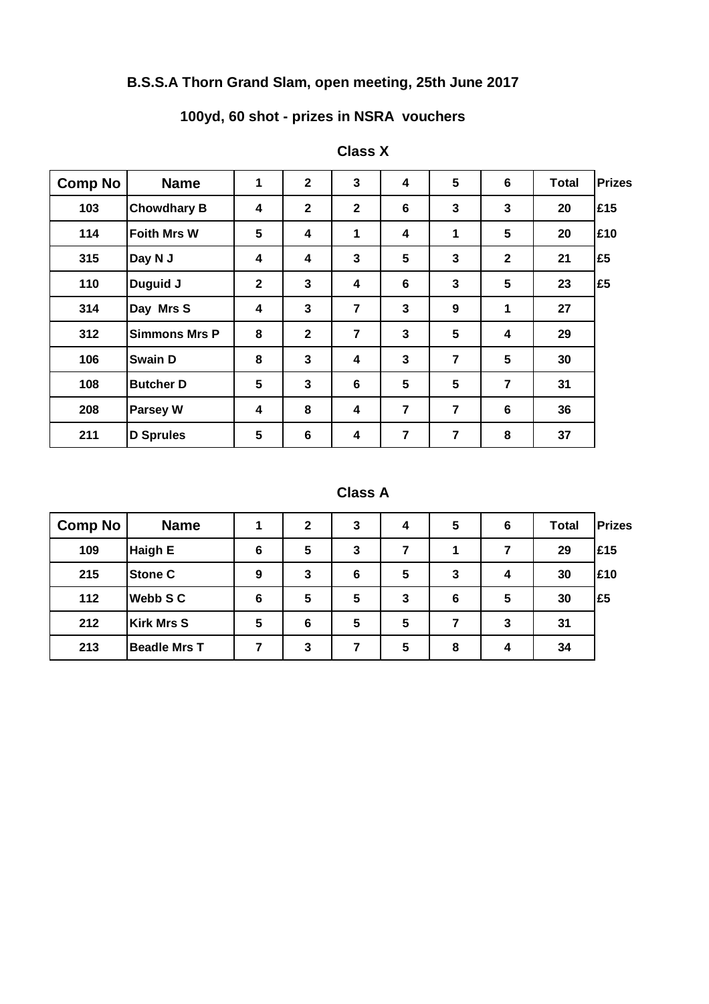## **B.S.S.A Thorn Grand Slam, open meeting, 25th June 2017**

## **100yd, 60 shot - prizes in NSRA vouchers**

| <b>Comp No</b> | <b>Name</b>          | 1            | $\mathbf{2}$   | 3              | 4                       | 5              | $6\phantom{1}$ | <b>Total</b> | <b>Prizes</b> |
|----------------|----------------------|--------------|----------------|----------------|-------------------------|----------------|----------------|--------------|---------------|
| 103            | <b>Chowdhary B</b>   | 4            | $\mathbf{2}$   | $\mathbf{2}$   | 6                       | $\mathbf 3$    | $\mathbf 3$    | 20           | £15           |
| 114            | <b>Foith Mrs W</b>   | 5            | 4              | 1              | $\overline{\mathbf{4}}$ | 1              | 5              | 20           | £10           |
| 315            | Day N J              | 4            | 4              | 3              | 5                       | 3              | $\mathbf{2}$   | 21           | £5            |
| 110            | Duguid J             | $\mathbf{2}$ | $\overline{3}$ | 4              | $6\phantom{1}$          | $\mathbf{3}$   | 5              | 23           | £5            |
| 314            | Day Mrs S            | 4            | $\mathbf{3}$   | 7              | $\mathbf{3}$            | 9              | 1              | 27           |               |
| 312            | <b>Simmons Mrs P</b> | 8            | $\mathbf{2}$   | 7              | $\mathbf{3}$            | 5              | 4              | 29           |               |
| 106            | <b>Swain D</b>       | 8            | $\mathbf{3}$   | 4              | $\mathbf{3}$            | $\overline{7}$ | 5              | 30           |               |
| 108            | <b>Butcher D</b>     | 5            | 3              | $6\phantom{1}$ | 5                       | 5              | $\overline{7}$ | 31           |               |
| 208            | <b>Parsey W</b>      | 4            | 8              | 4              | $\overline{7}$          | 7              | $\bf 6$        | 36           |               |
| 211            | <b>D</b> Sprules     | 5            | $6\phantom{1}$ | 4              | $\overline{\mathbf{r}}$ | $\overline{7}$ | 8              | 37           |               |

### **Class X**

#### **Class A**

| <b>Comp No</b> | <b>Name</b>         |   | $\mathbf{2}$ | 3 | 4 | 5 | 6 | <b>Total</b> | <b>Prizes</b> |
|----------------|---------------------|---|--------------|---|---|---|---|--------------|---------------|
| 109            | <b>Haigh E</b>      | 6 | 5            | 3 | 7 |   |   | 29           | <b>E15</b>    |
| 215            | <b>Stone C</b>      | 9 | 3            | 6 | 5 | 3 | 4 | 30           | <b>E10</b>    |
| 112            | <b>Webb S C</b>     | 6 | 5            | 5 | 3 | 6 | 5 | 30           | I£5           |
| 212            | <b>Kirk Mrs S</b>   | 5 | 6            | 5 | 5 |   | 3 | 31           |               |
| 213            | <b>Beadle Mrs T</b> |   | 3            |   | 5 | 8 | 4 | 34           |               |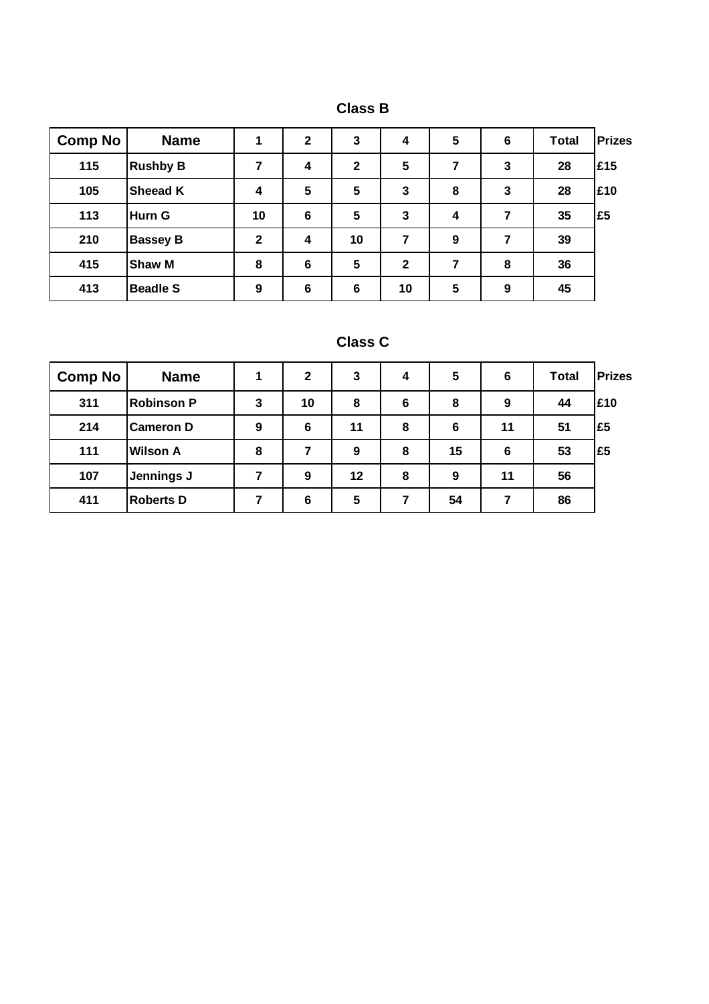| . .<br>-<br>vias<br>` |
|-----------------------|
|-----------------------|

| <b>Comp No</b> | <b>Name</b>     |              | $\mathbf{2}$    | 3              | 4            | 5 | $6\phantom{1}6$ | <b>Total</b> | <b>Prizes</b> |
|----------------|-----------------|--------------|-----------------|----------------|--------------|---|-----------------|--------------|---------------|
| 115            | <b>Rushby B</b> | 7            | 4               | $\mathbf{2}$   | 5            | 7 | 3               | 28           | £15           |
| 105            | <b>Sheead K</b> | 4            | $5\phantom{.0}$ | 5              | 3            | 8 | $\mathbf{3}$    | 28           | £10           |
| 113            | <b>Hurn G</b>   | 10           | $6\phantom{1}6$ | 5              | 3            | 4 | 7               | 35           | £5            |
| 210            | <b>Bassey B</b> | $\mathbf{2}$ | 4               | 10             | 7            | 9 | 7               | 39           |               |
| 415            | <b>Shaw M</b>   | 8            | $6\phantom{1}6$ | 5              | $\mathbf{2}$ | 7 | 8               | 36           |               |
| 413            | <b>Beadle S</b> | 9            | $6\phantom{1}6$ | $6\phantom{1}$ | 10           | 5 | 9               | 45           |               |

| Class | J. |
|-------|----|
|-------|----|

| <b>Comp No</b> | <b>Name</b>       |   | $\mathbf{2}$ | 3  | 4 | 5  | 6  | <b>Total</b> | <b>Prizes</b> |
|----------------|-------------------|---|--------------|----|---|----|----|--------------|---------------|
| 311            | <b>Robinson P</b> | 3 | 10           | 8  | 6 | 8  | 9  | 44           | £10           |
| 214            | <b>Cameron D</b>  | 9 | 6            | 11 | 8 | 6  | 11 | 51           | I£5           |
| 111            | <b>Wilson A</b>   | 8 | 7            | 9  | 8 | 15 | 6  | 53           | l£5           |
| 107            | Jennings J        |   | 9            | 12 | 8 | 9  | 11 | 56           |               |
| 411            | <b>Roberts D</b>  |   | 6            | 5  | 7 | 54 |    | 86           |               |